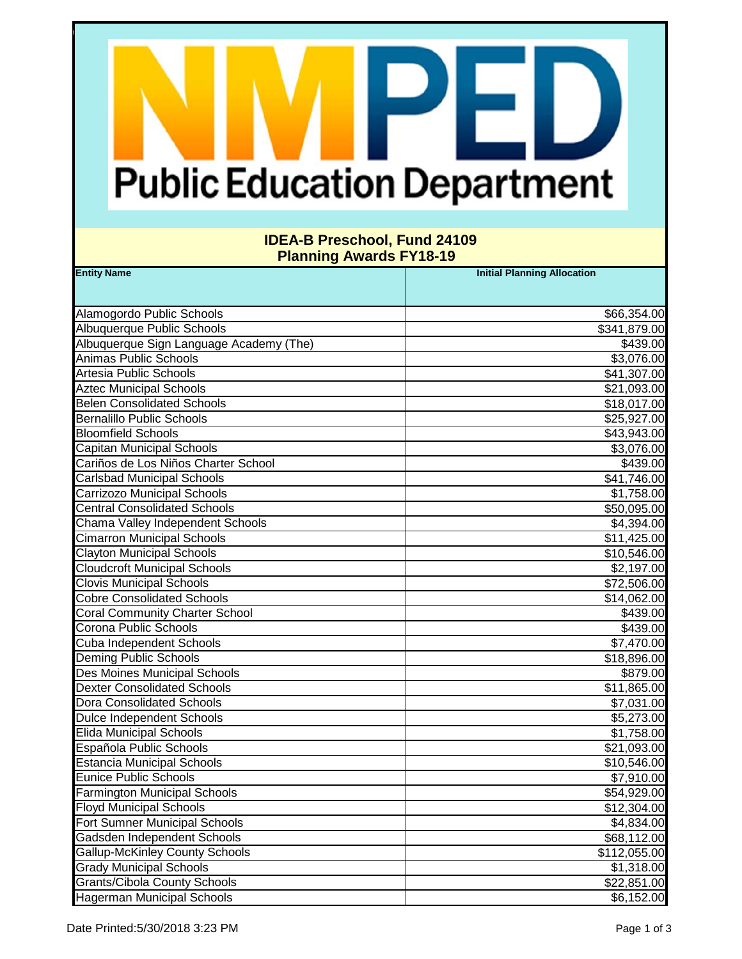# **Public Education Department**

F.

#### **IDEA-B Preschool, Fund 24109 Planning Awards FY18-19**

| <b>Entity Name</b>                      | <b>Initial Planning Allocation</b> |
|-----------------------------------------|------------------------------------|
|                                         |                                    |
| Alamogordo Public Schools               | \$66,354.00                        |
| Albuquerque Public Schools              | \$341,879.00                       |
| Albuquerque Sign Language Academy (The) | \$439.00                           |
| <b>Animas Public Schools</b>            | \$3,076.00                         |
| <b>Artesia Public Schools</b>           | \$41,307.00                        |
| <b>Aztec Municipal Schools</b>          | \$21,093.00                        |
| <b>Belen Consolidated Schools</b>       | \$18,017.00                        |
| <b>Bernalillo Public Schools</b>        | \$25,927.00                        |
| <b>Bloomfield Schools</b>               | \$43,943.00                        |
| <b>Capitan Municipal Schools</b>        | \$3,076.00                         |
| Cariños de Los Niños Charter School     | \$439.00                           |
| <b>Carlsbad Municipal Schools</b>       | \$41,746.00                        |
| Carrizozo Municipal Schools             | \$1,758.00                         |
| <b>Central Consolidated Schools</b>     | \$50,095.00                        |
| Chama Valley Independent Schools        | \$4,394.00                         |
| <b>Cimarron Municipal Schools</b>       | \$11,425.00                        |
| <b>Clayton Municipal Schools</b>        | \$10,546.00                        |
| <b>Cloudcroft Municipal Schools</b>     | \$2,197.00                         |
| <b>Clovis Municipal Schools</b>         | \$72,506.00                        |
| <b>Cobre Consolidated Schools</b>       | \$14,062.00                        |
| <b>Coral Community Charter School</b>   | \$439.00                           |
| Corona Public Schools                   | \$439.00                           |
| Cuba Independent Schools                | \$7,470.00                         |
| Deming Public Schools                   | \$18,896.00                        |
| Des Moines Municipal Schools            | \$879.00                           |
| <b>Dexter Consolidated Schools</b>      | \$11,865.00                        |
| <b>Dora Consolidated Schools</b>        | \$7,031.00                         |
| <b>Dulce Independent Schools</b>        | \$5,273.00                         |
| <b>Elida Municipal Schools</b>          | \$1,758.00                         |
| Española Public Schools                 | \$21,093.00                        |
| <b>Estancia Municipal Schools</b>       | \$10,546.00                        |
| <b>Eunice Public Schools</b>            | \$7,910.00                         |
| <b>Farmington Municipal Schools</b>     | \$54,929.00                        |
| <b>Floyd Municipal Schools</b>          | \$12,304.00                        |
| Fort Sumner Municipal Schools           | \$4,834.00                         |
| Gadsden Independent Schools             | \$68,112.00                        |
| <b>Gallup-McKinley County Schools</b>   | \$112,055.00                       |
| <b>Grady Municipal Schools</b>          | \$1,318.00                         |
| <b>Grants/Cibola County Schools</b>     | \$22,851.00                        |
| Hagerman Municipal Schools              | \$6,152.00                         |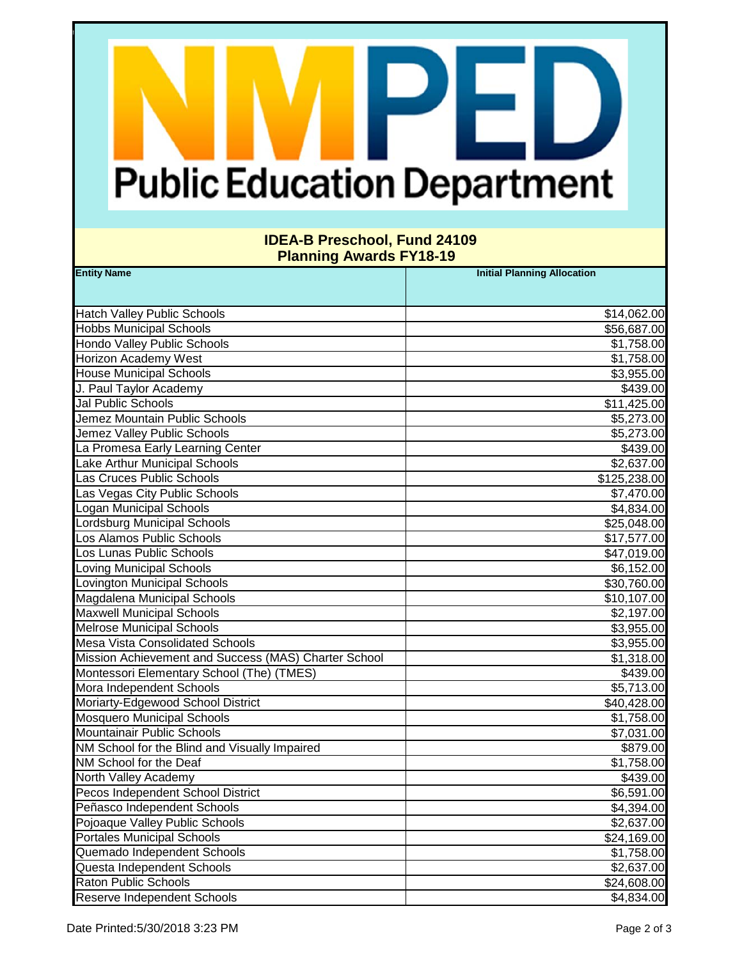# **Public Education Department**

F.

#### **IDEA-B Preschool, Fund 24109 Planning Awards FY18-19**

| <b>Entity Name</b>                                   | <b>Initial Planning Allocation</b> |
|------------------------------------------------------|------------------------------------|
|                                                      |                                    |
| <b>Hatch Valley Public Schools</b>                   | \$14,062.00                        |
| <b>Hobbs Municipal Schools</b>                       | \$56,687.00                        |
| <b>Hondo Valley Public Schools</b>                   | \$1,758.00                         |
| <b>Horizon Academy West</b>                          | \$1,758.00                         |
| <b>House Municipal Schools</b>                       | \$3,955.00                         |
| J. Paul Taylor Academy                               | \$439.00                           |
| Jal Public Schools                                   | \$11,425.00                        |
| Jemez Mountain Public Schools                        | \$5,273.00                         |
| Jemez Valley Public Schools                          | \$5,273.00                         |
| La Promesa Early Learning Center                     | \$439.00                           |
| Lake Arthur Municipal Schools                        | \$2,637.00                         |
| Las Cruces Public Schools                            | \$125,238.00                       |
| Las Vegas City Public Schools                        | \$7,470.00                         |
| Logan Municipal Schools                              | \$4,834.00                         |
| <b>Lordsburg Municipal Schools</b>                   | \$25,048.00                        |
| Los Alamos Public Schools                            | \$17,577.00                        |
| Los Lunas Public Schools                             | \$47,019.00                        |
| <b>Loving Municipal Schools</b>                      | \$6,152.00                         |
| Lovington Municipal Schools                          | \$30,760.00                        |
| Magdalena Municipal Schools                          | \$10,107.00                        |
| <b>Maxwell Municipal Schools</b>                     | \$2,197.00                         |
| <b>Melrose Municipal Schools</b>                     | \$3,955.00                         |
| <b>Mesa Vista Consolidated Schools</b>               | \$3,955.00                         |
| Mission Achievement and Success (MAS) Charter School | \$1,318.00                         |
| Montessori Elementary School (The) (TMES)            | \$439.00                           |
| Mora Independent Schools                             | \$5,713.00                         |
| Moriarty-Edgewood School District                    | \$40,428.00                        |
| <b>Mosquero Municipal Schools</b>                    | \$1,758.00                         |
| Mountainair Public Schools                           | \$7,031.00                         |
| NM School for the Blind and Visually Impaired        | \$879.00                           |
| NM School for the Deaf                               | \$1,758.00                         |
| North Valley Academy                                 | \$439.00                           |
| Pecos Independent School District                    | \$6,591.00                         |
| Peñasco Independent Schools                          | \$4,394.00                         |
| Pojoaque Valley Public Schools                       | \$2,637.00                         |
| <b>Portales Municipal Schools</b>                    | \$24,169.00                        |
| Quemado Independent Schools                          | \$1,758.00                         |
| Questa Independent Schools                           | \$2,637.00                         |
| <b>Raton Public Schools</b>                          | \$24,608.00                        |
| Reserve Independent Schools                          | \$4,834.00                         |